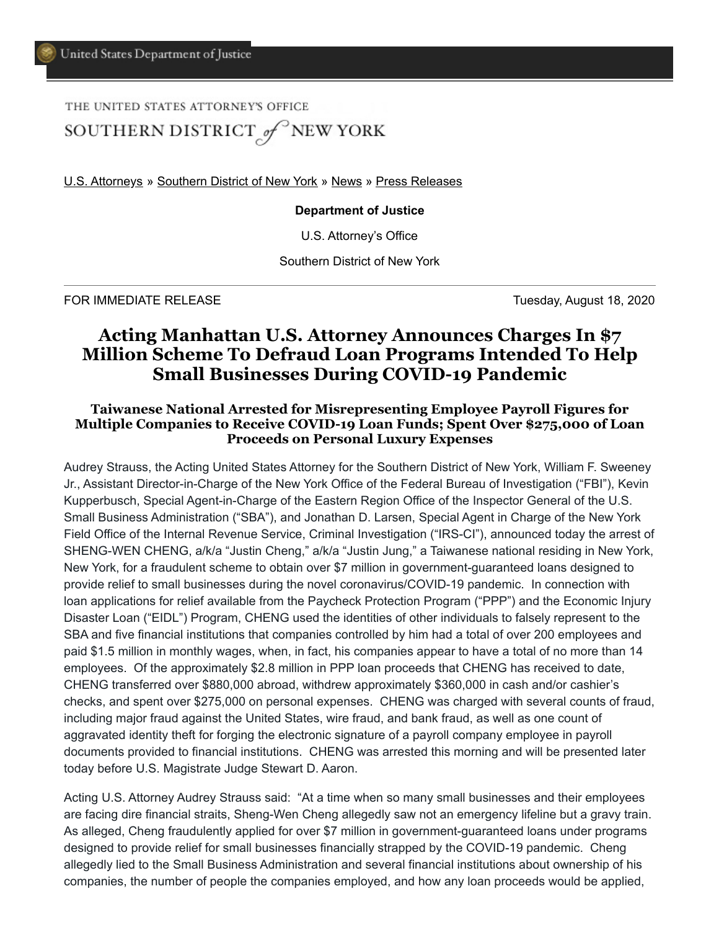THE UNITED STATES ATTORNEY'S OFFICE

SOUTHERN DISTRICT of NEW YORK

[U.S. Attorneys](https://www.justice.gov/usao) » [Southern District of New York](https://www.justice.gov/usao-sdny) » [News](https://www.justice.gov/usao-sdny/news) » [Press Releases](https://www.justice.gov/usao-sdny/pr)

**Department of Justice**

U.S. Attorney's Office

Southern District of New York

FOR IMMEDIATE RELEASE Tuesday, August 18, 2020

## **Acting Manhattan U.S. Attorney Announces Charges In \$7 Million Scheme To Defraud Loan Programs Intended To Help Small Businesses During COVID-19 Pandemic**

## **Taiwanese National Arrested for Misrepresenting Employee Payroll Figures for Multiple Companies to Receive COVID-19 Loan Funds; Spent Over \$275,000 of Loan Proceeds on Personal Luxury Expenses**

Audrey Strauss, the Acting United States Attorney for the Southern District of New York, William F. Sweeney Jr., Assistant Director-in-Charge of the New York Office of the Federal Bureau of Investigation ("FBI"), Kevin Kupperbusch, Special Agent-in-Charge of the Eastern Region Office of the Inspector General of the U.S. Small Business Administration ("SBA"), and Jonathan D. Larsen, Special Agent in Charge of the New York Field Office of the Internal Revenue Service, Criminal Investigation ("IRS-CI"), announced today the arrest of SHENG-WEN CHENG, a/k/a "Justin Cheng," a/k/a "Justin Jung," a Taiwanese national residing in New York, New York, for a fraudulent scheme to obtain over \$7 million in government-guaranteed loans designed to provide relief to small businesses during the novel coronavirus/COVID-19 pandemic. In connection with loan applications for relief available from the Paycheck Protection Program ("PPP") and the Economic Injury Disaster Loan ("EIDL") Program, CHENG used the identities of other individuals to falsely represent to the SBA and five financial institutions that companies controlled by him had a total of over 200 employees and paid \$1.5 million in monthly wages, when, in fact, his companies appear to have a total of no more than 14 employees. Of the approximately \$2.8 million in PPP loan proceeds that CHENG has received to date, CHENG transferred over \$880,000 abroad, withdrew approximately \$360,000 in cash and/or cashier's checks, and spent over \$275,000 on personal expenses. CHENG was charged with several counts of fraud, including major fraud against the United States, wire fraud, and bank fraud, as well as one count of aggravated identity theft for forging the electronic signature of a payroll company employee in payroll documents provided to financial institutions. CHENG was arrested this morning and will be presented later today before U.S. Magistrate Judge Stewart D. Aaron.

Acting U.S. Attorney Audrey Strauss said: "At a time when so many small businesses and their employees are facing dire financial straits, Sheng-Wen Cheng allegedly saw not an emergency lifeline but a gravy train. As alleged, Cheng fraudulently applied for over \$7 million in government-guaranteed loans under programs designed to provide relief for small businesses financially strapped by the COVID-19 pandemic. Cheng allegedly lied to the Small Business Administration and several financial institutions about ownership of his companies, the number of people the companies employed, and how any loan proceeds would be applied,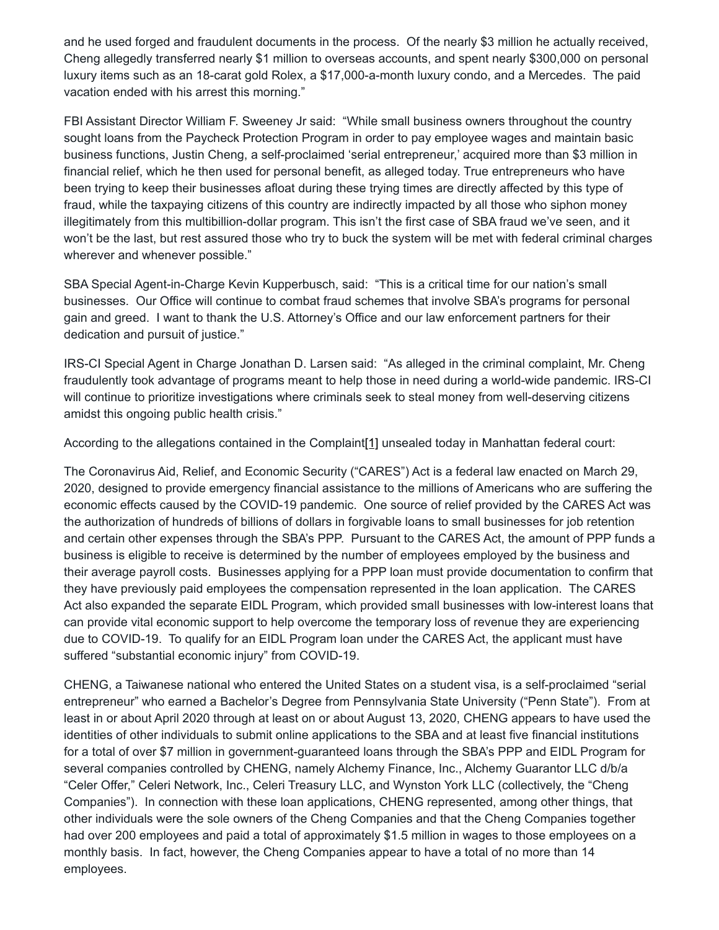and he used forged and fraudulent documents in the process. Of the nearly \$3 million he actually received, Cheng allegedly transferred nearly \$1 million to overseas accounts, and spent nearly \$300,000 on personal luxury items such as an 18-carat gold Rolex, a \$17,000-a-month luxury condo, and a Mercedes. The paid vacation ended with his arrest this morning."

FBI Assistant Director William F. Sweeney Jr said: "While small business owners throughout the country sought loans from the Paycheck Protection Program in order to pay employee wages and maintain basic business functions, Justin Cheng, a self-proclaimed 'serial entrepreneur,' acquired more than \$3 million in financial relief, which he then used for personal benefit, as alleged today. True entrepreneurs who have been trying to keep their businesses afloat during these trying times are directly affected by this type of fraud, while the taxpaying citizens of this country are indirectly impacted by all those who siphon money illegitimately from this multibillion-dollar program. This isn't the first case of SBA fraud we've seen, and it won't be the last, but rest assured those who try to buck the system will be met with federal criminal charges wherever and whenever possible."

SBA Special Agent-in-Charge Kevin Kupperbusch, said: "This is a critical time for our nation's small businesses. Our Office will continue to combat fraud schemes that involve SBA's programs for personal gain and greed. I want to thank the U.S. Attorney's Office and our law enforcement partners for their dedication and pursuit of justice."

IRS-CI Special Agent in Charge Jonathan D. Larsen said: "As alleged in the criminal complaint, Mr. Cheng fraudulently took advantage of programs meant to help those in need during a world-wide pandemic. IRS-CI will continue to prioritize investigations where criminals seek to steal money from well-deserving citizens amidst this ongoing public health crisis."

According to the allegations contained in the Complaint[\[1\]](#page-3-0) unsealed today in Manhattan federal court:

The Coronavirus Aid, Relief, and Economic Security ("CARES") Act is a federal law enacted on March 29, 2020, designed to provide emergency financial assistance to the millions of Americans who are suffering the economic effects caused by the COVID-19 pandemic. One source of relief provided by the CARES Act was the authorization of hundreds of billions of dollars in forgivable loans to small businesses for job retention and certain other expenses through the SBA's PPP. Pursuant to the CARES Act, the amount of PPP funds a business is eligible to receive is determined by the number of employees employed by the business and their average payroll costs. Businesses applying for a PPP loan must provide documentation to confirm that they have previously paid employees the compensation represented in the loan application. The CARES Act also expanded the separate EIDL Program, which provided small businesses with low-interest loans that can provide vital economic support to help overcome the temporary loss of revenue they are experiencing due to COVID-19. To qualify for an EIDL Program loan under the CARES Act, the applicant must have suffered "substantial economic injury" from COVID-19.

CHENG, a Taiwanese national who entered the United States on a student visa, is a self-proclaimed "serial entrepreneur" who earned a Bachelor's Degree from Pennsylvania State University ("Penn State"). From at least in or about April 2020 through at least on or about August 13, 2020, CHENG appears to have used the identities of other individuals to submit online applications to the SBA and at least five financial institutions for a total of over \$7 million in government-guaranteed loans through the SBA's PPP and EIDL Program for several companies controlled by CHENG, namely Alchemy Finance, Inc., Alchemy Guarantor LLC d/b/a "Celer Offer," Celeri Network, Inc., Celeri Treasury LLC, and Wynston York LLC (collectively, the "Cheng Companies"). In connection with these loan applications, CHENG represented, among other things, that other individuals were the sole owners of the Cheng Companies and that the Cheng Companies together had over 200 employees and paid a total of approximately \$1.5 million in wages to those employees on a monthly basis. In fact, however, the Cheng Companies appear to have a total of no more than 14 employees.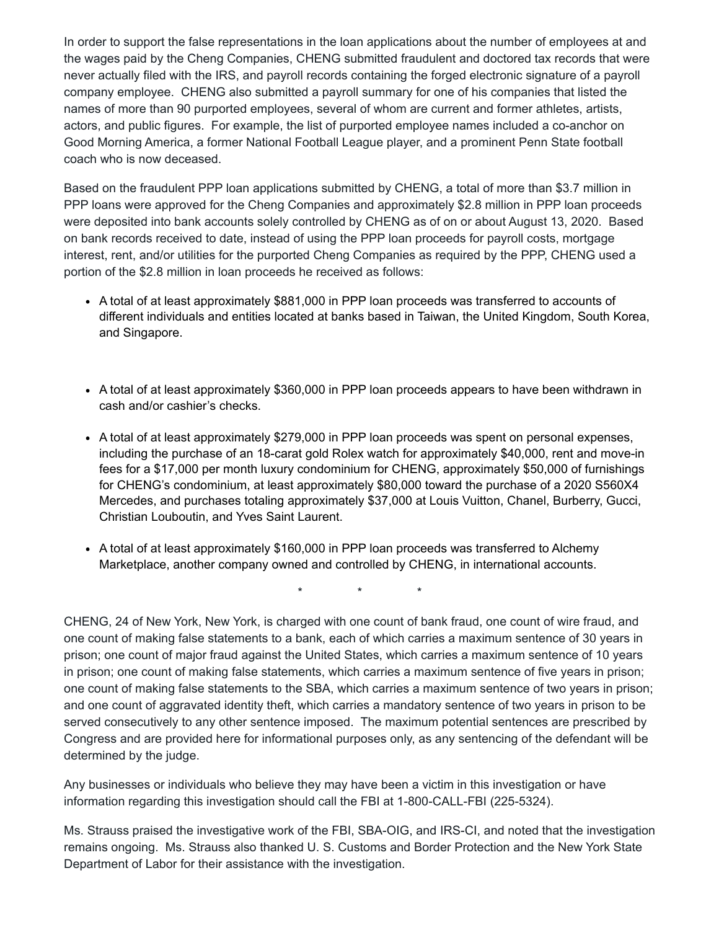In order to support the false representations in the loan applications about the number of employees at and the wages paid by the Cheng Companies, CHENG submitted fraudulent and doctored tax records that were never actually filed with the IRS, and payroll records containing the forged electronic signature of a payroll company employee. CHENG also submitted a payroll summary for one of his companies that listed the names of more than 90 purported employees, several of whom are current and former athletes, artists, actors, and public figures. For example, the list of purported employee names included a co-anchor on Good Morning America, a former National Football League player, and a prominent Penn State football coach who is now deceased.

Based on the fraudulent PPP loan applications submitted by CHENG, a total of more than \$3.7 million in PPP loans were approved for the Cheng Companies and approximately \$2.8 million in PPP loan proceeds were deposited into bank accounts solely controlled by CHENG as of on or about August 13, 2020. Based on bank records received to date, instead of using the PPP loan proceeds for payroll costs, mortgage interest, rent, and/or utilities for the purported Cheng Companies as required by the PPP, CHENG used a portion of the \$2.8 million in loan proceeds he received as follows:

- A total of at least approximately \$881,000 in PPP loan proceeds was transferred to accounts of different individuals and entities located at banks based in Taiwan, the United Kingdom, South Korea, and Singapore.
- A total of at least approximately \$360,000 in PPP loan proceeds appears to have been withdrawn in cash and/or cashier's checks.
- A total of at least approximately \$279,000 in PPP loan proceeds was spent on personal expenses, including the purchase of an 18-carat gold Rolex watch for approximately \$40,000, rent and move-in fees for a \$17,000 per month luxury condominium for CHENG, approximately \$50,000 of furnishings for CHENG's condominium, at least approximately \$80,000 toward the purchase of a 2020 S560X4 Mercedes, and purchases totaling approximately \$37,000 at Louis Vuitton, Chanel, Burberry, Gucci, Christian Louboutin, and Yves Saint Laurent.
- A total of at least approximately \$160,000 in PPP loan proceeds was transferred to Alchemy Marketplace, another company owned and controlled by CHENG, in international accounts.

\* \* \*

CHENG, 24 of New York, New York, is charged with one count of bank fraud, one count of wire fraud, and one count of making false statements to a bank, each of which carries a maximum sentence of 30 years in prison; one count of major fraud against the United States, which carries a maximum sentence of 10 years in prison; one count of making false statements, which carries a maximum sentence of five years in prison; one count of making false statements to the SBA, which carries a maximum sentence of two years in prison; and one count of aggravated identity theft, which carries a mandatory sentence of two years in prison to be served consecutively to any other sentence imposed. The maximum potential sentences are prescribed by Congress and are provided here for informational purposes only, as any sentencing of the defendant will be determined by the judge.

Any businesses or individuals who believe they may have been a victim in this investigation or have information regarding this investigation should call the FBI at 1-800-CALL-FBI (225-5324).

Ms. Strauss praised the investigative work of the FBI, SBA-OIG, and IRS-CI, and noted that the investigation remains ongoing. Ms. Strauss also thanked U. S. Customs and Border Protection and the New York State Department of Labor for their assistance with the investigation.